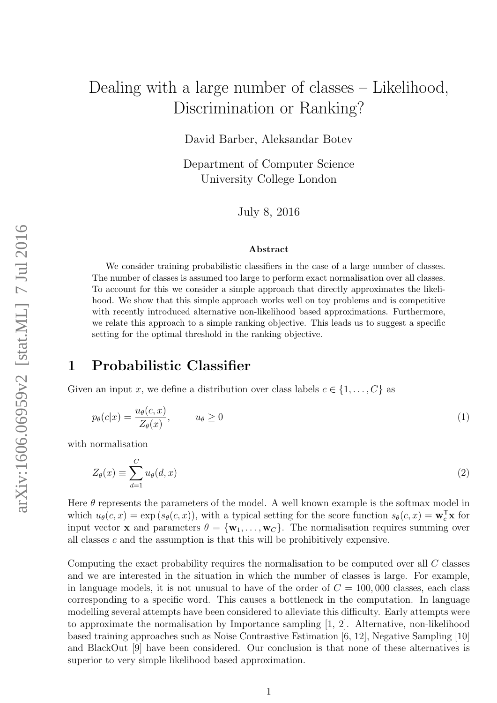# Dealing with a large number of classes – Likelihood, Discrimination or Ranking?

David Barber, Aleksandar Botev

Department of Computer Science University College London

July 8, 2016

#### Abstract

We consider training probabilistic classifiers in the case of a large number of classes. The number of classes is assumed too large to perform exact normalisation over all classes. To account for this we consider a simple approach that directly approximates the likelihood. We show that this simple approach works well on toy problems and is competitive with recently introduced alternative non-likelihood based approximations. Furthermore, we relate this approach to a simple ranking objective. This leads us to suggest a specific setting for the optimal threshold in the ranking objective.

# 1 Probabilistic Classifier

Given an input x, we define a distribution over class labels  $c \in \{1, \ldots, C\}$  as

$$
p_{\theta}(c|x) = \frac{u_{\theta}(c,x)}{Z_{\theta}(x)}, \qquad u_{\theta} \ge 0
$$
\n<sup>(1)</sup>

with normalisation

$$
Z_{\theta}(x) \equiv \sum_{d=1}^{C} u_{\theta}(d, x) \tag{2}
$$

Here  $\theta$  represents the parameters of the model. A well known example is the softmax model in which  $u_{\theta}(c, x) = \exp(s_{\theta}(c, x))$ , with a typical setting for the score function  $s_{\theta}(c, x) = \mathbf{w}_c^{\mathsf{T}} \mathbf{x}$  for input vector **x** and parameters  $\theta = {\mathbf{w}_1, \dots, \mathbf{w}_C}$ . The normalisation requires summing over all classes c and the assumption is that this will be prohibitively expensive.

Computing the exact probability requires the normalisation to be computed over all C classes and we are interested in the situation in which the number of classes is large. For example, in language models, it is not unusual to have of the order of  $C = 100,000$  classes, each class corresponding to a specific word. This causes a bottleneck in the computation. In language modelling several attempts have been considered to alleviate this difficulty. Early attempts were to approximate the normalisation by Importance sampling [1, 2]. Alternative, non-likelihood based training approaches such as Noise Contrastive Estimation [6, 12], Negative Sampling [10] and BlackOut [9] have been considered. Our conclusion is that none of these alternatives is superior to very simple likelihood based approximation.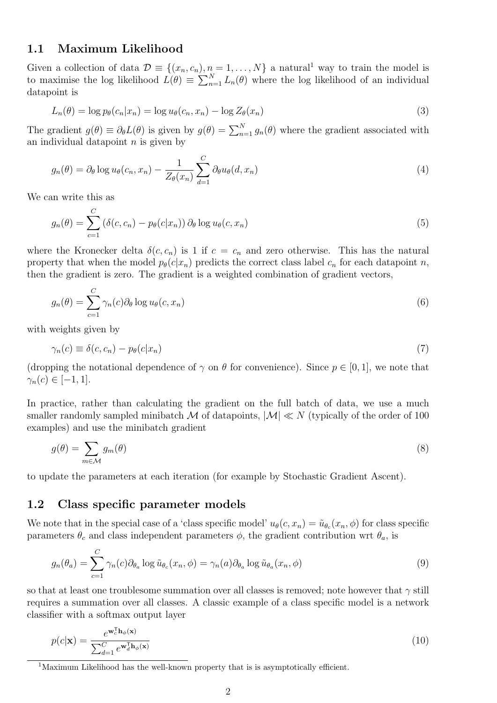### 1.1 Maximum Likelihood

Given a collection of data  $\mathcal{D} \equiv \{(x_n, c_n), n = 1, ..., N\}$  a natural<sup>1</sup> way to train the model is to maximise the log likelihood  $\tilde{L}(\theta) \equiv \sum_{n=1}^{N} L_n(\theta)$  where the log likelihood of an individual datapoint is

$$
L_n(\theta) = \log p_\theta(c_n | x_n) = \log u_\theta(c_n, x_n) - \log Z_\theta(x_n)
$$
\n(3)

The gradient  $g(\theta) \equiv \partial_{\theta}L(\theta)$  is given by  $g(\theta) = \sum_{n=1}^{N} g_n(\theta)$  where the gradient associated with an individual datapoint  $n$  is given by

$$
g_n(\theta) = \partial_\theta \log u_\theta(c_n, x_n) - \frac{1}{Z_\theta(x_n)} \sum_{d=1}^C \partial_\theta u_\theta(d, x_n)
$$
\n<sup>(4)</sup>

We can write this as

$$
g_n(\theta) = \sum_{c=1}^{C} \left( \delta(c, c_n) - p_{\theta}(c|x_n) \right) \partial_{\theta} \log u_{\theta}(c, x_n)
$$
\n
$$
\tag{5}
$$

where the Kronecker delta  $\delta(c, c_n)$  is 1 if  $c = c_n$  and zero otherwise. This has the natural property that when the model  $p_{\theta}(c|x_n)$  predicts the correct class label  $c_n$  for each datapoint n, then the gradient is zero. The gradient is a weighted combination of gradient vectors,

$$
g_n(\theta) = \sum_{c=1}^{C} \gamma_n(c) \partial_{\theta} \log u_{\theta}(c, x_n)
$$
\n(6)

with weights given by

$$
\gamma_n(c) \equiv \delta(c, c_n) - p_\theta(c|x_n) \tag{7}
$$

(dropping the notational dependence of  $\gamma$  on  $\theta$  for convenience). Since  $p \in [0,1]$ , we note that  $\gamma_n(c) \in [-1, 1].$ 

In practice, rather than calculating the gradient on the full batch of data, we use a much smaller randomly sampled minibatch M of datapoints,  $|M| \ll N$  (typically of the order of 100 examples) and use the minibatch gradient

$$
g(\theta) = \sum_{m \in \mathcal{M}} g_m(\theta) \tag{8}
$$

to update the parameters at each iteration (for example by Stochastic Gradient Ascent).

### 1.2 Class specific parameter models

We note that in the special case of a 'class specific model'  $u_{\theta}(c, x_n) = \tilde{u}_{\theta_c}(x_n, \phi)$  for class specific parameters  $\theta_c$  and class independent parameters  $\phi$ , the gradient contribution wrt  $\theta_a$ , is

$$
g_n(\theta_a) = \sum_{c=1}^{C} \gamma_n(c) \partial_{\theta_a} \log \tilde{u}_{\theta_c}(x_n, \phi) = \gamma_n(a) \partial_{\theta_a} \log \tilde{u}_{\theta_a}(x_n, \phi)
$$
(9)

so that at least one troublesome summation over all classes is removed; note however that  $\gamma$  still requires a summation over all classes. A classic example of a class specific model is a network classifier with a softmax output layer

$$
p(c|\mathbf{x}) = \frac{e^{\mathbf{w}_c^{\mathsf{T}} \mathbf{h}_{\phi}(\mathbf{x})}}{\sum_{d=1}^{C} e^{\mathbf{w}_d^{\mathsf{T}} \mathbf{h}_{\phi}(\mathbf{x})}}
$$
(10)

<sup>1</sup>Maximum Likelihood has the well-known property that is is asymptotically efficient.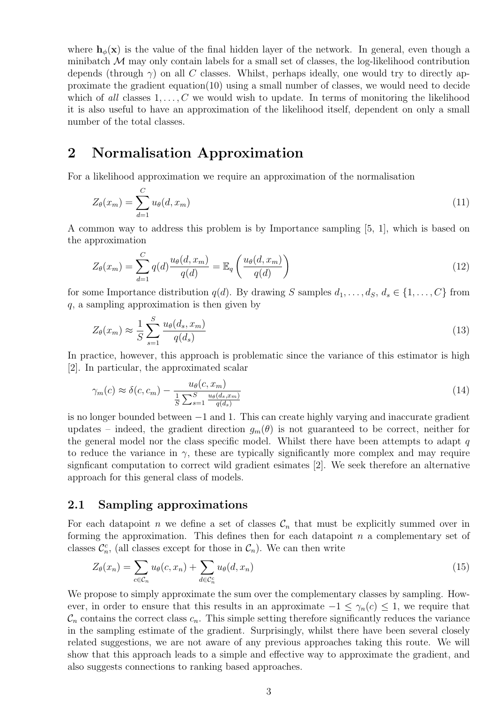where  $h_{\phi}(\mathbf{x})$  is the value of the final hidden layer of the network. In general, even though a minibatch  $\mathcal M$  may only contain labels for a small set of classes, the log-likelihood contribution depends (through  $\gamma$ ) on all C classes. Whilst, perhaps ideally, one would try to directly approximate the gradient equation $(10)$  using a small number of classes, we would need to decide which of all classes  $1, \ldots, C$  we would wish to update. In terms of monitoring the likelihood it is also useful to have an approximation of the likelihood itself, dependent on only a small number of the total classes.

# 2 Normalisation Approximation

For a likelihood approximation we require an approximation of the normalisation

$$
Z_{\theta}(x_m) = \sum_{d=1}^{C} u_{\theta}(d, x_m)
$$
\n
$$
(11)
$$

A common way to address this problem is by Importance sampling [5, 1], which is based on the approximation

$$
Z_{\theta}(x_m) = \sum_{d=1}^{C} q(d) \frac{u_{\theta}(d, x_m)}{q(d)} = \mathbb{E}_q \left( \frac{u_{\theta}(d, x_m)}{q(d)} \right)
$$
(12)

for some Importance distribution  $q(d)$ . By drawing S samples  $d_1, \ldots, d_S, d_s \in \{1, \ldots, C\}$  from q, a sampling approximation is then given by

$$
Z_{\theta}(x_m) \approx \frac{1}{S} \sum_{s=1}^{S} \frac{u_{\theta}(d_s, x_m)}{q(d_s)}
$$
(13)

In practice, however, this approach is problematic since the variance of this estimator is high [2]. In particular, the approximated scalar

$$
\gamma_m(c) \approx \delta(c, c_m) - \frac{u_{\theta}(c, x_m)}{\frac{1}{S} \sum_{s=1}^S \frac{u_{\theta}(d_s, x_m)}{q(d_s)}}\tag{14}
$$

is no longer bounded between −1 and 1. This can create highly varying and inaccurate gradient updates – indeed, the gradient direction  $g_m(\theta)$  is not guaranteed to be correct, neither for the general model nor the class specific model. Whilst there have been attempts to adapt  $q$ to reduce the variance in  $\gamma$ , these are typically significantly more complex and may require signficant computation to correct wild gradient esimates [2]. We seek therefore an alternative approach for this general class of models.

### 2.1 Sampling approximations

For each datapoint n we define a set of classes  $\mathcal{C}_n$  that must be explicitly summed over in forming the approximation. This defines then for each datapoint  $n$  a complementary set of classes  $\mathcal{C}_n^c$ , (all classes except for those in  $\mathcal{C}_n$ ). We can then write

$$
Z_{\theta}(x_n) = \sum_{c \in \mathcal{C}_n} u_{\theta}(c, x_n) + \sum_{d \in \mathcal{C}_n^c} u_{\theta}(d, x_n)
$$
\n(15)

We propose to simply approximate the sum over the complementary classes by sampling. However, in order to ensure that this results in an approximate  $-1 \leq \gamma_n(c) \leq 1$ , we require that  $\mathcal{C}_n$  contains the correct class  $c_n$ . This simple setting therefore significantly reduces the variance in the sampling estimate of the gradient. Surprisingly, whilst there have been several closely related suggestions, we are not aware of any previous approaches taking this route. We will show that this approach leads to a simple and effective way to approximate the gradient, and also suggests connections to ranking based approaches.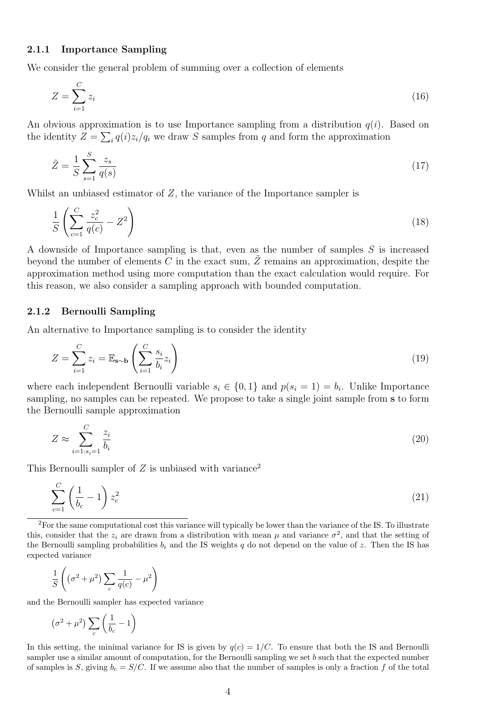#### 2.1.1 Importance Sampling

We consider the general problem of summing over a collection of elements

$$
Z = \sum_{i=1}^{C} z_i \tag{16}
$$

An obvious approximation is to use Importance sampling from a distribution  $q(i)$ . Based on the identity  $Z = \sum_i q(i)z_i/q_i$  we draw S samples from q and form the approximation

$$
\tilde{Z} = \frac{1}{S} \sum_{s=1}^{S} \frac{z_s}{q(s)}\tag{17}
$$

Whilst an unbiased estimator of  $Z$ , the variance of the Importance sampler is

$$
\frac{1}{S} \left( \sum_{c=1}^{C} \frac{z_c^2}{q(c)} - Z^2 \right) \tag{18}
$$

A downside of Importance sampling is that, even as the number of samples S is increased beyond the number of elements C in the exact sum,  $\tilde{Z}$  remains an approximation, despite the approximation method using more computation than the exact calculation would require. For this reason, we also consider a sampling approach with bounded computation.

#### 2.1.2 Bernoulli Sampling

An alternative to Importance sampling is to consider the identity

$$
Z = \sum_{i=1}^{C} z_i = \mathbb{E}_{\mathbf{s} \sim \mathbf{b}} \left( \sum_{i=1}^{C} \frac{s_i}{b_i} z_i \right)
$$
 (19)

where each independent Bernoulli variable  $s_i \in \{0,1\}$  and  $p(s_i = 1) = b_i$ . Unlike Importance sampling, no samples can be repeated. We propose to take a single joint sample from s to form the Bernoulli sample approximation

$$
Z \approx \sum_{i=1:s_i=1}^{C} \frac{z_i}{b_i} \tag{20}
$$

This Bernoulli sampler of  $Z$  is unbiased with variance<sup>2</sup>

$$
\sum_{c=1}^{C} \left(\frac{1}{b_c} - 1\right) z_c^2 \tag{21}
$$

 ${}^{2}$ For the same computational cost this variance will typically be lower than the variance of the IS. To illustrate this, consider that the  $z_i$  are drawn from a distribution with mean  $\mu$  and variance  $\sigma^2$ , and that the setting of the Bernoulli sampling probabilities  $b_i$  and the IS weights q do not depend on the value of z. Then the IS has expected variance

$$
\frac{1}{S}\left((\sigma^2+\mu^2)\sum_c\frac{1}{q(c)}-\mu^2\right)
$$

and the Bernoulli sampler has expected variance

$$
\left(\sigma^2 + \mu^2\right) \sum_c \left(\frac{1}{b_c} - 1\right)
$$

In this setting, the minimal variance for IS is given by  $q(c) = 1/C$ . To ensure that both the IS and Bernoulli sampler use a similar amount of computation, for the Bernoulli sampling we set b such that the expected number of samples is S, giving  $b_c = S/C$ . If we assume also that the number of samples is only a fraction f of the total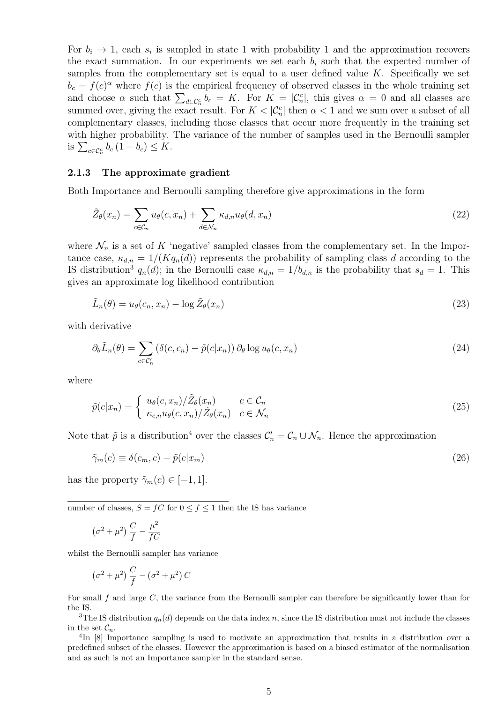For  $b_i \to 1$ , each  $s_i$  is sampled in state 1 with probability 1 and the approximation recovers the exact summation. In our experiments we set each  $b_i$  such that the expected number of samples from the complementary set is equal to a user defined value  $K$ . Specifically we set  $b_c = f(c)^{\alpha}$  where  $f(c)$  is the empirical frequency of observed classes in the whole training set and choose  $\alpha$  such that  $\sum_{d \in \mathcal{C}_n^c} b_c = K$ . For  $K = |\mathcal{C}_n^c|$ , this gives  $\alpha = 0$  and all classes are summed over, giving the exact result. For  $K < |\mathcal{C}_n^c|$  then  $\alpha < 1$  and we sum over a subset of all complementary classes, including those classes that occur more frequently in the training set with higher probability. The variance of the number of samples used in the Bernoulli sampler is  $\sum_{c \in \mathcal{C}_n^c} b_c (1 - b_c) \leq K$ .

#### 2.1.3 The approximate gradient

Both Importance and Bernoulli sampling therefore give approximations in the form

$$
\tilde{Z}_{\theta}(x_n) = \sum_{c \in \mathcal{C}_n} u_{\theta}(c, x_n) + \sum_{d \in \mathcal{N}_n} \kappa_{d,n} u_{\theta}(d, x_n)
$$
\n(22)

where  $\mathcal{N}_n$  is a set of K 'negative' sampled classes from the complementary set. In the Importance case,  $\kappa_{d,n} = 1/(Kq_n(d))$  represents the probability of sampling class d according to the IS distribution<sup>3</sup>  $q_n(d)$ ; in the Bernoulli case  $\kappa_{d,n} = 1/b_{d,n}$  is the probability that  $s_d = 1$ . This gives an approximate log likelihood contribution

$$
\tilde{L}_n(\theta) = u_\theta(c_n, x_n) - \log \tilde{Z}_\theta(x_n) \tag{23}
$$

with derivative

$$
\partial_{\theta}\tilde{L}_n(\theta) = \sum_{c \in \mathcal{C}'_n} \left( \delta(c, c_n) - \tilde{p}(c|x_n) \right) \partial_{\theta} \log u_{\theta}(c, x_n) \tag{24}
$$

where

$$
\tilde{p}(c|x_n) = \begin{cases}\n u_\theta(c, x_n) / \tilde{Z}_\theta(x_n) & c \in \mathcal{C}_n \\
\kappa_{c,n} u_\theta(c, x_n) / \tilde{Z}_\theta(x_n) & c \in \mathcal{N}_n\n\end{cases}
$$
\n(25)

Note that  $\tilde{p}$  is a distribution<sup>4</sup> over the classes  $\mathcal{C}'_n = \mathcal{C}_n \cup \mathcal{N}_n$ . Hence the approximation

$$
\tilde{\gamma}_m(c) \equiv \delta(c_m, c) - \tilde{p}(c|x_m)
$$
\n(26)

has the property  $\tilde{\gamma}_m(c) \in [-1, 1].$ 

number of classes,  $S = fC$  for  $0 \le f \le 1$  then the IS has variance

$$
\left(\sigma^2+\mu^2\right)\frac{C}{f}-\frac{\mu^2}{fC}
$$

whilst the Bernoulli sampler has variance

$$
\left(\sigma^2+\mu^2\right)\frac{C}{f}-\left(\sigma^2+\mu^2\right)C
$$

For small f and large C, the variance from the Bernoulli sampler can therefore be significantly lower than for the IS.

<sup>3</sup>The IS distribution  $q_n(d)$  depends on the data index n, since the IS distribution must not include the classes in the set  $\mathcal{C}_n$ .

<sup>4</sup>In [8] Importance sampling is used to motivate an approximation that results in a distribution over a predefined subset of the classes. However the approximation is based on a biased estimator of the normalisation and as such is not an Importance sampler in the standard sense.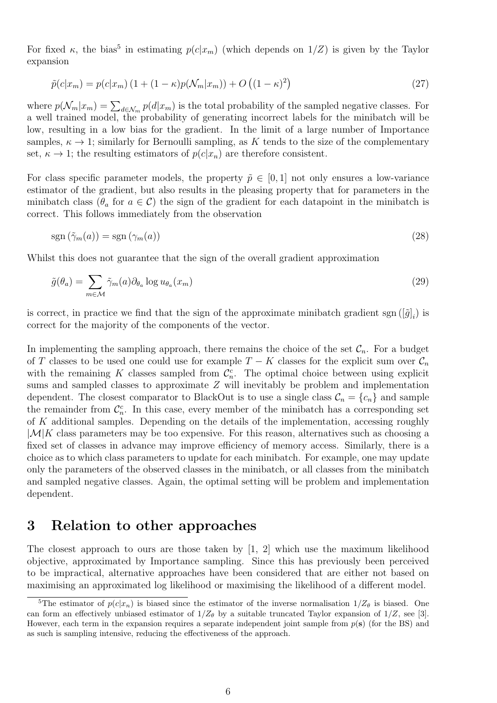For fixed  $\kappa$ , the bias<sup>5</sup> in estimating  $p(c|x_m)$  (which depends on  $1/Z$ ) is given by the Taylor expansion

$$
\tilde{p}(c|x_m) = p(c|x_m) \left(1 + (1 - \kappa)p(\mathcal{N}_m|x_m)\right) + O\left((1 - \kappa)^2\right)
$$
\n(27)

where  $p(\mathcal{N}_m | x_m) = \sum_{d \in \mathcal{N}_m} p(d | x_m)$  is the total probability of the sampled negative classes. For a well trained model, the probability of generating incorrect labels for the minibatch will be low, resulting in a low bias for the gradient. In the limit of a large number of Importance samples,  $\kappa \to 1$ ; similarly for Bernoulli sampling, as K tends to the size of the complementary set,  $\kappa \to 1$ ; the resulting estimators of  $p(c|x_n)$  are therefore consistent.

For class specific parameter models, the property  $\tilde{p} \in [0, 1]$  not only ensures a low-variance estimator of the gradient, but also results in the pleasing property that for parameters in the minibatch class ( $\theta_a$  for  $a \in \mathcal{C}$ ) the sign of the gradient for each datapoint in the minibatch is correct. This follows immediately from the observation

$$
sgn\left(\tilde{\gamma}_m(a)\right) = sgn\left(\gamma_m(a)\right) \tag{28}
$$

Whilst this does not guarantee that the sign of the overall gradient approximation

$$
\tilde{g}(\theta_a) = \sum_{m \in \mathcal{M}} \tilde{\gamma}_m(a) \partial_{\theta_a} \log u_{\theta_a}(x_m)
$$
\n(29)

is correct, in practice we find that the sign of the approximate minibatch gradient sgn  $([\tilde{g}]_i)$  is correct for the majority of the components of the vector.

In implementing the sampling approach, there remains the choice of the set  $\mathcal{C}_n$ . For a budget of T classes to be used one could use for example  $T - K$  classes for the explicit sum over  $\mathcal{C}_n$ with the remaining K classes sampled from  $\mathcal{C}_n^c$ . The optimal choice between using explicit sums and sampled classes to approximate Z will inevitably be problem and implementation dependent. The closest comparator to BlackOut is to use a single class  $\mathcal{C}_n = \{c_n\}$  and sample the remainder from  $\mathcal{C}_n^c$ . In this case, every member of the minibatch has a corresponding set of K additional samples. Depending on the details of the implementation, accessing roughly  $|\mathcal{M}|K$  class parameters may be too expensive. For this reason, alternatives such as choosing a fixed set of classes in advance may improve efficiency of memory access. Similarly, there is a choice as to which class parameters to update for each minibatch. For example, one may update only the parameters of the observed classes in the minibatch, or all classes from the minibatch and sampled negative classes. Again, the optimal setting will be problem and implementation dependent.

# 3 Relation to other approaches

The closest approach to ours are those taken by [1, 2] which use the maximum likelihood objective, approximated by Importance sampling. Since this has previously been perceived to be impractical, alternative approaches have been considered that are either not based on maximising an approximated log likelihood or maximising the likelihood of a different model.

<sup>&</sup>lt;sup>5</sup>The estimator of  $p(c|x_n)$  is biased since the estimator of the inverse normalisation  $1/Z_\theta$  is biased. One can form an effectively unbiased estimator of  $1/Z_{\theta}$  by a suitable truncated Taylor expansion of  $1/Z$ , see [3]. However, each term in the expansion requires a separate independent joint sample from  $p(s)$  (for the BS) and as such is sampling intensive, reducing the effectiveness of the approach.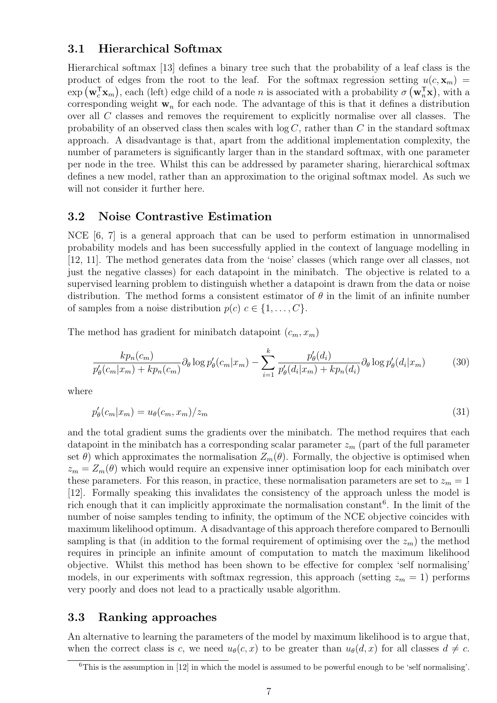# 3.1 Hierarchical Softmax

Hierarchical softmax [13] defines a binary tree such that the probability of a leaf class is the product of edges from the root to the leaf. For the softmax regression setting  $u(c, \mathbf{x}_m)$  =  $\exp(\mathbf{w}_c^{\mathsf{T}}\mathbf{x}_m)$ , each (left) edge child of a node n is associated with a probability  $\sigma(\mathbf{w}_n^{\mathsf{T}}\mathbf{x})$ , with a corresponding weight  $w_n$  for each node. The advantage of this is that it defines a distribution over all C classes and removes the requirement to explicitly normalise over all classes. The probability of an observed class then scales with  $log C$ , rather than C in the standard softmax approach. A disadvantage is that, apart from the additional implementation complexity, the number of parameters is significantly larger than in the standard softmax, with one parameter per node in the tree. Whilst this can be addressed by parameter sharing, hierarchical softmax defines a new model, rather than an approximation to the original softmax model. As such we will not consider it further here.

## 3.2 Noise Contrastive Estimation

NCE [6, 7] is a general approach that can be used to perform estimation in unnormalised probability models and has been successfully applied in the context of language modelling in [12, 11]. The method generates data from the 'noise' classes (which range over all classes, not just the negative classes) for each datapoint in the minibatch. The objective is related to a supervised learning problem to distinguish whether a datapoint is drawn from the data or noise distribution. The method forms a consistent estimator of  $\theta$  in the limit of an infinite number of samples from a noise distribution  $p(c)$   $c \in \{1, \ldots, C\}$ .

The method has gradient for minibatch datapoint  $(c_m, x_m)$ 

$$
\frac{kp_n(c_m)}{p'_\theta(c_m|x_m) + kp_n(c_m)} \partial_\theta \log p'_\theta(c_m|x_m) - \sum_{i=1}^k \frac{p'_\theta(d_i)}{p'_\theta(d_i|x_m) + kp_n(d_i)} \partial_\theta \log p'_\theta(d_i|x_m) \tag{30}
$$

where

$$
p'_{\theta}(c_m|x_m) = u_{\theta}(c_m, x_m)/z_m \tag{31}
$$

and the total gradient sums the gradients over the minibatch. The method requires that each datapoint in the minibatch has a corresponding scalar parameter  $z_m$  (part of the full parameter set  $\theta$ ) which approximates the normalisation  $Z_m(\theta)$ . Formally, the objective is optimised when  $z_m = Z_m(\theta)$  which would require an expensive inner optimisation loop for each minibatch over these parameters. For this reason, in practice, these normalisation parameters are set to  $z_m = 1$ [12]. Formally speaking this invalidates the consistency of the approach unless the model is rich enough that it can implicitly approximate the normalisation constant<sup>6</sup>. In the limit of the number of noise samples tending to infinity, the optimum of the NCE objective coincides with maximum likelihood optimum. A disadvantage of this approach therefore compared to Bernoulli sampling is that (in addition to the formal requirement of optimising over the  $z_m$ ) the method requires in principle an infinite amount of computation to match the maximum likelihood objective. Whilst this method has been shown to be effective for complex 'self normalising' models, in our experiments with softmax regression, this approach (setting  $z_m = 1$ ) performs very poorly and does not lead to a practically usable algorithm.

# 3.3 Ranking approaches

An alternative to learning the parameters of the model by maximum likelihood is to argue that, when the correct class is c, we need  $u_{\theta}(c, x)$  to be greater than  $u_{\theta}(d, x)$  for all classes  $d \neq c$ .

<sup>6</sup>This is the assumption in [12] in which the model is assumed to be powerful enough to be 'self normalising'.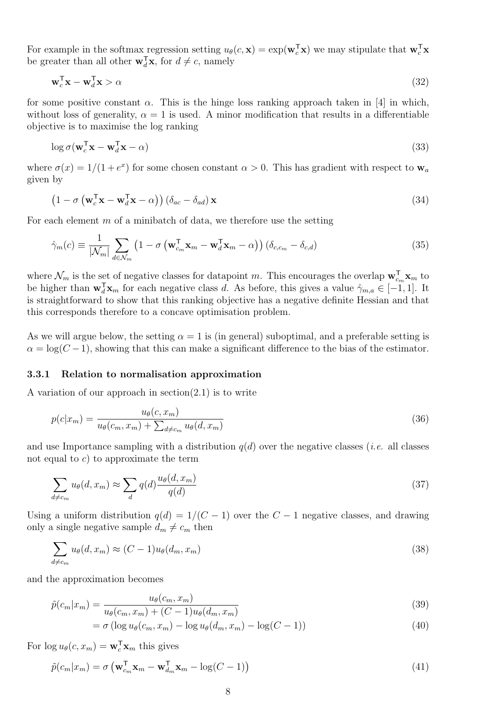For example in the softmax regression setting  $u_{\theta}(c, \mathbf{x}) = \exp(\mathbf{w}_c^{\mathsf{T}} \mathbf{x})$  we may stipulate that  $\mathbf{w}_c^{\mathsf{T}} \mathbf{x}$ be greater than all other  $\mathbf{w}_d^T \mathbf{x}$ , for  $d \neq c$ , namely

$$
\mathbf{w}_c^{\mathsf{T}} \mathbf{x} - \mathbf{w}_d^{\mathsf{T}} \mathbf{x} > \alpha \tag{32}
$$

for some positive constant  $\alpha$ . This is the hinge loss ranking approach taken in [4] in which, without loss of generality,  $\alpha = 1$  is used. A minor modification that results in a differentiable objective is to maximise the log ranking

$$
\log \sigma (\mathbf{w}_c^{\mathsf{T}} \mathbf{x} - \mathbf{w}_d^{\mathsf{T}} \mathbf{x} - \alpha) \tag{33}
$$

where  $\sigma(x) = 1/(1 + e^x)$  for some chosen constant  $\alpha > 0$ . This has gradient with respect to  $\mathbf{w}_a$ given by

$$
\left(1 - \sigma \left(\mathbf{w}_c^{\mathsf{T}} \mathbf{x} - \mathbf{w}_d^{\mathsf{T}} \mathbf{x} - \alpha\right)\right) \left(\delta_{ac} - \delta_{ad}\right) \mathbf{x} \tag{34}
$$

For each element  $m$  of a minibatch of data, we therefore use the setting

$$
\hat{\gamma}_m(c) \equiv \frac{1}{|\mathcal{N}_m|} \sum_{d \in \mathcal{N}_m} \left( 1 - \sigma \left( \mathbf{w}_{c_m}^\mathsf{T} \mathbf{x}_m - \mathbf{w}_d^\mathsf{T} \mathbf{x}_m - \alpha \right) \right) \left( \delta_{c,c_m} - \delta_{c,d} \right) \tag{35}
$$

where  $\mathcal{N}_m$  is the set of negative classes for datapoint m. This encourages the overlap  $\mathbf{w}_{cm}^{\mathsf{T}}\mathbf{x}_m$  to be higher than  $\mathbf{w}_d^T \mathbf{x}_m$  for each negative class d. As before, this gives a value  $\hat{\gamma}_{m,a} \in [-1,1]$ . It is straightforward to show that this ranking objective has a negative definite Hessian and that this corresponds therefore to a concave optimisation problem.

As we will argue below, the setting  $\alpha = 1$  is (in general) suboptimal, and a preferable setting is  $\alpha = \log(C-1)$ , showing that this can make a significant difference to the bias of the estimator.

#### 3.3.1 Relation to normalisation approximation

A variation of our approach in section $(2.1)$  is to write

$$
p(c|x_m) = \frac{u_{\theta}(c, x_m)}{u_{\theta}(c_m, x_m) + \sum_{d \neq c_m} u_{\theta}(d, x_m)}
$$
(36)

and use Importance sampling with a distribution  $q(d)$  over the negative classes (*i.e.* all classes not equal to  $c$ ) to approximate the term

$$
\sum_{d \neq c_m} u_{\theta}(d, x_m) \approx \sum_{d} q(d) \frac{u_{\theta}(d, x_m)}{q(d)} \tag{37}
$$

Using a uniform distribution  $q(d) = 1/(C-1)$  over the  $C-1$  negative classes, and drawing only a single negative sample  $d_m \neq c_m$  then

$$
\sum_{d \neq c_m} u_{\theta}(d, x_m) \approx (C - 1)u_{\theta}(d_m, x_m)
$$
\n(38)

and the approximation becomes

$$
\tilde{p}(c_m|x_m) = \frac{u_{\theta}(c_m, x_m)}{u_{\theta}(c_m, x_m) + (C - 1)u_{\theta}(d_m, x_m)}
$$
\n(39)

$$
= \sigma \left( \log u_{\theta}(c_m, x_m) - \log u_{\theta}(d_m, x_m) - \log(C - 1) \right) \tag{40}
$$

For  $\log u_{\theta}(c, x_m) = \mathbf{w}_c^{\mathsf{T}} \mathbf{x}_m$  this gives

$$
\tilde{p}(c_m|x_m) = \sigma \left(\mathbf{w}_{c_m}^{\mathsf{T}} \mathbf{x}_m - \mathbf{w}_{d_m}^{\mathsf{T}} \mathbf{x}_m - \log(C - 1)\right)
$$
\n(41)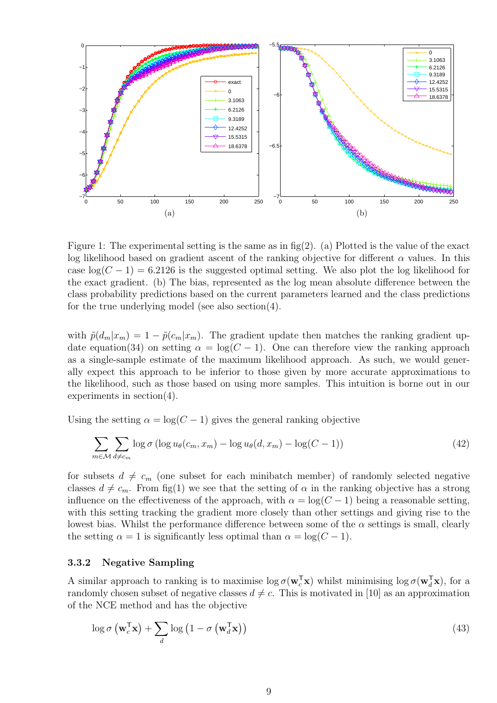

Figure 1: The experimental setting is the same as in  $fig(2)$ . (a) Plotted is the value of the exact log likelihood based on gradient ascent of the ranking objective for different  $\alpha$  values. In this case  $log(C-1) = 6.2126$  is the suggested optimal setting. We also plot the log likelihood for the exact gradient. (b) The bias, represented as the log mean absolute difference between the class probability predictions based on the current parameters learned and the class predictions for the true underlying model (see also section(4).

with  $\tilde{p}(d_m|x_m) = 1 - \tilde{p}(c_m|x_m)$ . The gradient update then matches the ranking gradient update equation(34) on setting  $\alpha = \log(C - 1)$ . One can therefore view the ranking approach as a single-sample estimate of the maximum likelihood approach. As such, we would generally expect this approach to be inferior to those given by more accurate approximations to the likelihood, such as those based on using more samples. This intuition is borne out in our experiments in section(4).

Using the setting  $\alpha = \log(C - 1)$  gives the general ranking objective

$$
\sum_{m \in \mathcal{M}} \sum_{d \neq c_m} \log \sigma \left( \log u_{\theta}(c_m, x_m) - \log u_{\theta}(d, x_m) - \log(C - 1) \right) \tag{42}
$$

for subsets  $d \neq c_m$  (one subset for each minibatch member) of randomly selected negative classes  $d \neq c_m$ . From fig(1) we see that the setting of  $\alpha$  in the ranking objective has a strong influence on the effectiveness of the approach, with  $\alpha = \log(C - 1)$  being a reasonable setting, with this setting tracking the gradient more closely than other settings and giving rise to the lowest bias. Whilst the performance difference between some of the  $\alpha$  settings is small, clearly the setting  $\alpha = 1$  is significantly less optimal than  $\alpha = \log(C - 1)$ .

#### 3.3.2 Negative Sampling

A similar approach to ranking is to maximise  $\log \sigma(w_c^T x)$  whilst minimising  $\log \sigma(w_d^T x)$ , for a randomly chosen subset of negative classes  $d \neq c$ . This is motivated in [10] as an approximation of the NCE method and has the objective

$$
\log \sigma \left( \mathbf{w}_c^{\mathsf{T}} \mathbf{x} \right) + \sum_{d} \log \left( 1 - \sigma \left( \mathbf{w}_d^{\mathsf{T}} \mathbf{x} \right) \right) \tag{43}
$$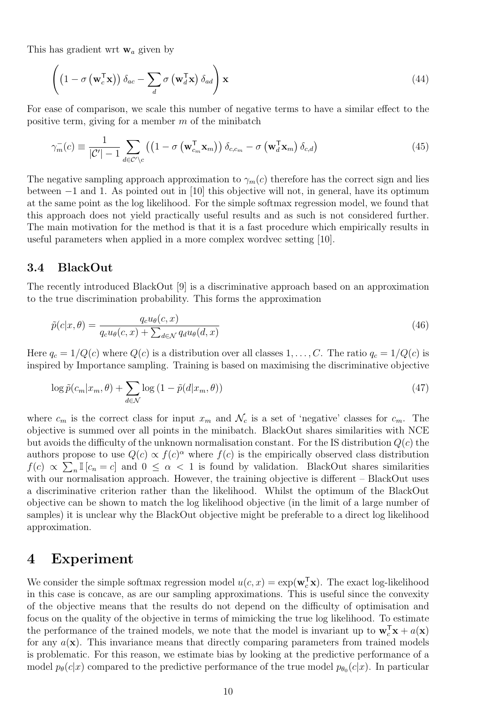This has gradient wrt  $w_a$  given by

$$
\left( \left( 1 - \sigma \left( \mathbf{w}_c^{\mathsf{T}} \mathbf{x} \right) \right) \delta_{ac} - \sum_d \sigma \left( \mathbf{w}_d^{\mathsf{T}} \mathbf{x} \right) \delta_{ad} \right) \mathbf{x} \tag{44}
$$

For ease of comparison, we scale this number of negative terms to have a similar effect to the positive term, giving for a member  $m$  of the minibatch

$$
\gamma_m^-(c) \equiv \frac{1}{|\mathcal{C}'|-1} \sum_{d \in \mathcal{C}' \backslash c} \left( \left(1 - \sigma \left(\mathbf{w}_{c_m}^\mathsf{T} \mathbf{x}_m\right)\right) \delta_{c,c_m} - \sigma \left(\mathbf{w}_d^\mathsf{T} \mathbf{x}_m\right) \delta_{c,d} \right) \tag{45}
$$

The negative sampling approach approximation to  $\gamma_m(c)$  therefore has the correct sign and lies between −1 and 1. As pointed out in [10] this objective will not, in general, have its optimum at the same point as the log likelihood. For the simple softmax regression model, we found that this approach does not yield practically useful results and as such is not considered further. The main motivation for the method is that it is a fast procedure which empirically results in useful parameters when applied in a more complex wordvec setting [10].

### 3.4 BlackOut

The recently introduced BlackOut [9] is a discriminative approach based on an approximation to the true discrimination probability. This forms the approximation

$$
\tilde{p}(c|x,\theta) = \frac{q_c u_{\theta}(c,x)}{q_c u_{\theta}(c,x) + \sum_{d \in \mathcal{N}} q_d u_{\theta}(d,x)}
$$
\n(46)

Here  $q_c = 1/Q(c)$  where  $Q(c)$  is a distribution over all classes  $1, \ldots, C$ . The ratio  $q_c = 1/Q(c)$  is inspired by Importance sampling. Training is based on maximising the discriminative objective

$$
\log \tilde{p}(c_m | x_m, \theta) + \sum_{d \in \mathcal{N}} \log \left( 1 - \tilde{p}(d | x_m, \theta) \right) \tag{47}
$$

where  $c_m$  is the correct class for input  $x_m$  and  $\mathcal{N}_c$  is a set of 'negative' classes for  $c_m$ . The objective is summed over all points in the minibatch. BlackOut shares similarities with NCE but avoids the difficulty of the unknown normalisation constant. For the IS distribution  $Q(c)$  the authors propose to use  $Q(c) \propto f(c)^{\alpha}$  where  $f(c)$  is the empirically observed class distribution  $f(c) \propto \sum_{n} \mathbb{I}[c_n = c]$  and  $0 \leq \alpha < 1$  is found by validation. BlackOut shares similarities with our normalisation approach. However, the training objective is different – BlackOut uses a discriminative criterion rather than the likelihood. Whilst the optimum of the BlackOut objective can be shown to match the log likelihood objective (in the limit of a large number of samples) it is unclear why the BlackOut objective might be preferable to a direct log likelihood approximation.

# 4 Experiment

We consider the simple softmax regression model  $u(c, x) = \exp(\mathbf{w}_c^T \mathbf{x})$ . The exact log-likelihood in this case is concave, as are our sampling approximations. This is useful since the convexity of the objective means that the results do not depend on the difficulty of optimisation and focus on the quality of the objective in terms of mimicking the true log likelihood. To estimate the performance of the trained models, we note that the model is invariant up to  $\mathbf{w}_c^T \mathbf{x} + a(\mathbf{x})$ for any  $a(\mathbf{x})$ . This invariance means that directly comparing parameters from trained models is problematic. For this reason, we estimate bias by looking at the predictive performance of a model  $p_{\theta}(c|x)$  compared to the predictive performance of the true model  $p_{\theta_0}(c|x)$ . In particular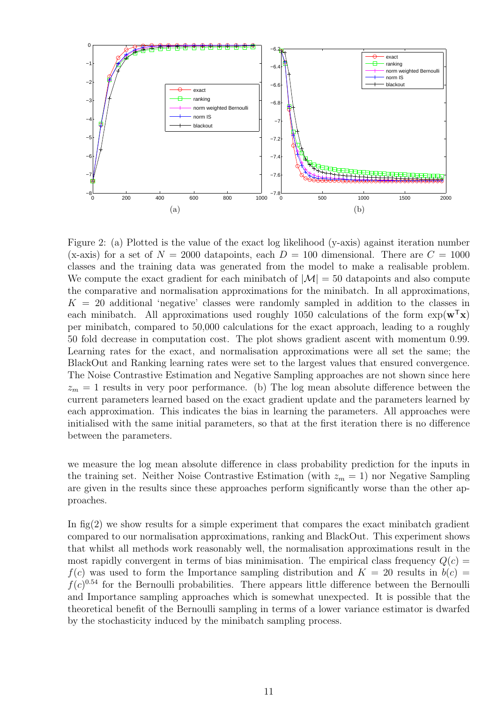

Figure 2: (a) Plotted is the value of the exact log likelihood (y-axis) against iteration number (x-axis) for a set of  $N = 2000$  datapoints, each  $D = 100$  dimensional. There are  $C = 1000$ classes and the training data was generated from the model to make a realisable problem. We compute the exact gradient for each minibatch of  $|\mathcal{M}| = 50$  datapoints and also compute the comparative and normalisation approximations for the minibatch. In all approximations,  $K = 20$  additional 'negative' classes were randomly sampled in addition to the classes in each minibatch. All approximations used roughly 1050 calculations of the form  $\exp(\mathbf{w}^T \mathbf{x})$ per minibatch, compared to 50,000 calculations for the exact approach, leading to a roughly 50 fold decrease in computation cost. The plot shows gradient ascent with momentum 0.99. Learning rates for the exact, and normalisation approximations were all set the same; the BlackOut and Ranking learning rates were set to the largest values that ensured convergence. The Noise Contrastive Estimation and Negative Sampling approaches are not shown since here  $z_m = 1$  results in very poor performance. (b) The log mean absolute difference between the current parameters learned based on the exact gradient update and the parameters learned by each approximation. This indicates the bias in learning the parameters. All approaches were initialised with the same initial parameters, so that at the first iteration there is no difference between the parameters.

we measure the log mean absolute difference in class probability prediction for the inputs in the training set. Neither Noise Contrastive Estimation (with  $z_m = 1$ ) nor Negative Sampling are given in the results since these approaches perform significantly worse than the other approaches.

In  $\text{fig}(2)$  we show results for a simple experiment that compares the exact minibatch gradient compared to our normalisation approximations, ranking and BlackOut. This experiment shows that whilst all methods work reasonably well, the normalisation approximations result in the most rapidly convergent in terms of bias minimisation. The empirical class frequency  $Q(c)$  $f(c)$  was used to form the Importance sampling distribution and  $K = 20$  results in  $b(c) =$  $f(c)^{0.54}$  for the Bernoulli probabilities. There appears little difference between the Bernoulli and Importance sampling approaches which is somewhat unexpected. It is possible that the theoretical benefit of the Bernoulli sampling in terms of a lower variance estimator is dwarfed by the stochasticity induced by the minibatch sampling process.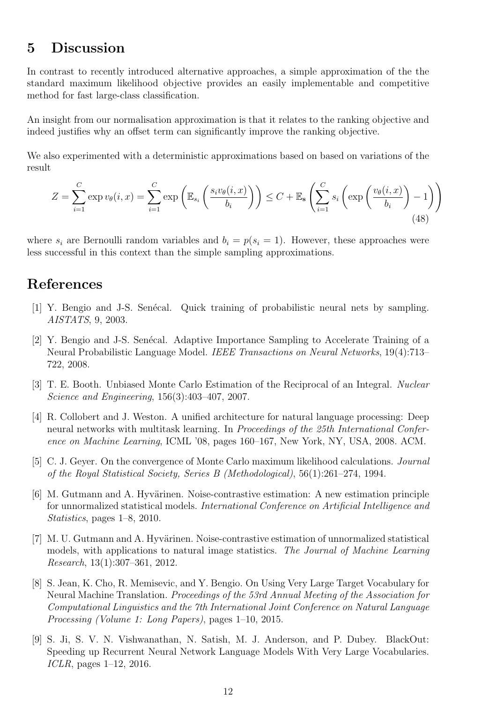# 5 Discussion

In contrast to recently introduced alternative approaches, a simple approximation of the the standard maximum likelihood objective provides an easily implementable and competitive method for fast large-class classification.

An insight from our normalisation approximation is that it relates to the ranking objective and indeed justifies why an offset term can significantly improve the ranking objective.

We also experimented with a deterministic approximations based on based on variations of the result

$$
Z = \sum_{i=1}^{C} \exp v_{\theta}(i, x) = \sum_{i=1}^{C} \exp \left( \mathbb{E}_{s_i} \left( \frac{s_i v_{\theta}(i, x)}{b_i} \right) \right) \le C + \mathbb{E}_{\mathbf{s}} \left( \sum_{i=1}^{C} s_i \left( \exp \left( \frac{v_{\theta}(i, x)}{b_i} \right) - 1 \right) \right)
$$
(48)

where  $s_i$  are Bernoulli random variables and  $b_i = p(s_i = 1)$ . However, these approaches were less successful in this context than the simple sampling approximations.

# References

- [1] Y. Bengio and J-S. Senécal. Quick training of probabilistic neural nets by sampling. AISTATS, 9, 2003.
- [2] Y. Bengio and J-S. Senécal. Adaptive Importance Sampling to Accelerate Training of a Neural Probabilistic Language Model. IEEE Transactions on Neural Networks, 19(4):713– 722, 2008.
- [3] T. E. Booth. Unbiased Monte Carlo Estimation of the Reciprocal of an Integral. Nuclear Science and Engineering, 156(3):403–407, 2007.
- [4] R. Collobert and J. Weston. A unified architecture for natural language processing: Deep neural networks with multitask learning. In Proceedings of the 25th International Conference on Machine Learning, ICML '08, pages 160–167, New York, NY, USA, 2008. ACM.
- [5] C. J. Geyer. On the convergence of Monte Carlo maximum likelihood calculations. Journal of the Royal Statistical Society, Series B (Methodological), 56(1):261–274, 1994.
- $[6]$  M. Gutmann and A. Hyvärinen. Noise-contrastive estimation: A new estimation principle for unnormalized statistical models. International Conference on Artificial Intelligence and Statistics, pages 1–8, 2010.
- [7] M. U. Gutmann and A. Hyvärinen. Noise-contrastive estimation of unnormalized statistical models, with applications to natural image statistics. The Journal of Machine Learning Research, 13(1):307–361, 2012.
- [8] S. Jean, K. Cho, R. Memisevic, and Y. Bengio. On Using Very Large Target Vocabulary for Neural Machine Translation. Proceedings of the 53rd Annual Meeting of the Association for Computational Linguistics and the 7th International Joint Conference on Natural Language Processing (Volume 1: Long Papers), pages 1–10, 2015.
- [9] S. Ji, S. V. N. Vishwanathan, N. Satish, M. J. Anderson, and P. Dubey. BlackOut: Speeding up Recurrent Neural Network Language Models With Very Large Vocabularies. ICLR, pages  $1-12$ , 2016.